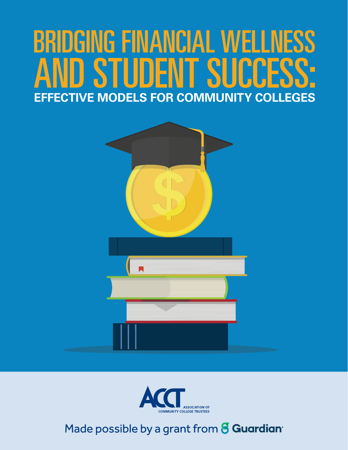# BRIDGING FINANCIAL WELLNESS D STUDENT SUCCESS **EFFECTIVE MODELS FOR COMMUNITY COLLEGES**





Made possible by a grant from **8 Guardian**<sup>®</sup>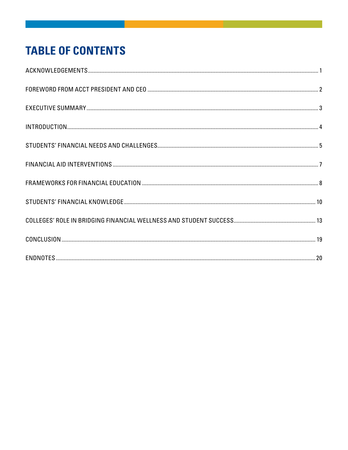# **TABLE OF CONTENTS**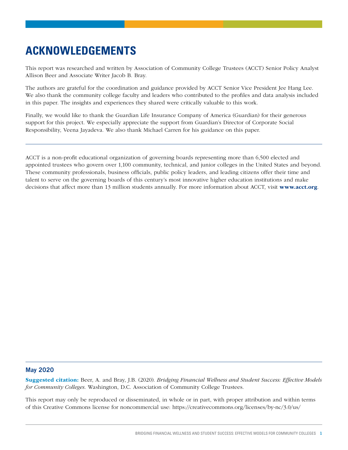# **ACKNOWLEDGEMENTS**

This report was researched and written by Association of Community College Trustees (ACCT) Senior Policy Analyst Allison Beer and Associate Writer Jacob B. Bray.

The authors are grateful for the coordination and guidance provided by ACCT Senior Vice President Jee Hang Lee. We also thank the community college faculty and leaders who contributed to the profiles and data analysis included in this paper. The insights and experiences they shared were critically valuable to this work.

Finally, we would like to thank the Guardian Life Insurance Company of America (Guardian) for their generous support for this project. We especially appreciate the support from Guardian's Director of Corporate Social Responsibility, Veena Jayadeva. We also thank Michael Carren for his guidance on this paper.

ACCT is a non-profit educational organization of governing boards representing more than 6,500 elected and appointed trustees who govern over 1,100 community, technical, and junior colleges in the United States and beyond. These community professionals, business officials, public policy leaders, and leading citizens offer their time and talent to serve on the governing boards of this century's most innovative higher education institutions and make decisions that affect more than 13 million students annually. For more information about ACCT, visit www.acct.org.

#### May 2020

Suggested citation: Beer, A. and Bray, J.B. (2020). *Bridging Financial Wellness and Student Success: Effective Models for Community Colleges*. Washington, D.C. Association of Community College Trustees.

This report may only be reproduced or disseminated, in whole or in part, with proper attribution and within terms of this Creative Commons license for noncommercial use: https://creativecommons.org/licenses/by-nc/3.0/us/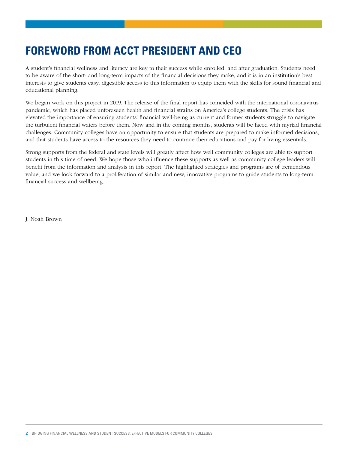# **FOREWORD FROM ACCT PRESIDENT AND CEO**

A student's financial wellness and literacy are key to their success while enrolled, and after graduation. Students need to be aware of the short- and long-term impacts of the financial decisions they make, and it is in an institution's best interests to give students easy, digestible access to this information to equip them with the skills for sound financial and educational planning.

We began work on this project in 2019. The release of the final report has coincided with the international coronavirus pandemic, which has placed unforeseen health and financial strains on America's college students. The crisis has elevated the importance of ensuring students' financial well-being as current and former students struggle to navigate the turbulent financial waters before them. Now and in the coming months, students will be faced with myriad financial challenges. Community colleges have an opportunity to ensure that students are prepared to make informed decisions, and that students have access to the resources they need to continue their educations and pay for living essentials.

Strong supports from the federal and state levels will greatly affect how well community colleges are able to support students in this time of need. We hope those who influence these supports as well as community college leaders will benefit from the information and analysis in this report. The highlighted strategies and programs are of tremendous value, and we look forward to a proliferation of similar and new, innovative programs to guide students to long-term financial success and wellbeing.

J. Noah Brown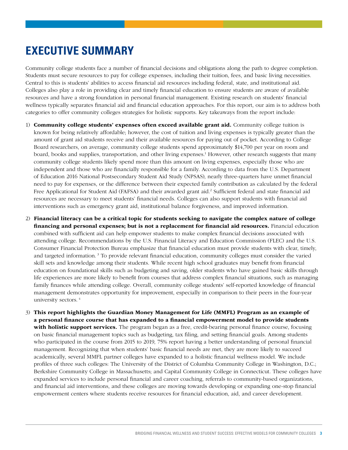## **EXECUTIVE SUMMARY**

Community college students face a number of financial decisions and obligations along the path to degree completion. Students must secure resources to pay for college expenses, including their tuition, fees, and basic living necessities. Central to this is students' abilities to access financial aid resources including federal, state, and institutional aid. Colleges also play a role in providing clear and timely financial education to ensure students are aware of available resources and have a strong foundation in personal financial management. Existing research on students' financial wellness typically separates financial aid and financial education approaches. For this report, our aim is to address both categories to offer community colleges strategies for holistic supports. Key takeaways from the report include:

- 1) Community college students' expenses often exceed available grant aid. Community college tuition is known for being relatively affordable; however, the cost of tuition and living expenses is typically greater than the amount of grant aid students receive and their available resources for paying out of pocket. According to College Board researchers, on average, community college students spend approximately \$14,700 per year on room and board, books and supplies, transportation, and other living expenses.1 However, other research suggests that many community college students likely spend more than this amount on living expenses, especially those who are independent and those who are financially responsible for a family. According to data from the U.S. Department of Education 2016 National Postsecondary Student Aid Study (NPSAS), nearly three-quarters have unmet financial need to pay for expenses, or the difference between their expected family contribution as calculated by the federal Free Applicational for Student Aid (FAFSA) and their awarded grant aid.<sup>2</sup> Sufficient federal and state financial aid resources are necessary to meet students' financial needs. Colleges can also support students with financial aid interventions such as emergency grant aid, institutional balance forgiveness, and improved information.
- 2) Financial literacy can be a critical topic for students seeking to navigate the complex nature of college financing and personal expenses; but is not a replacement for financial aid resources. Financial education combined with sufficient aid can help empower students to make complex financial decisions associated with attending college. Recommendations by the U.S. Financial Literacy and Education Commission (FLEC) and the U.S. Consumer Financial Protection Bureau emphasize that financial education must provide students with clear, timely, and targeted information. 3 To provide relevant financial education, community colleges must consider the varied skill sets and knowledge among their students. While recent high school graduates may benefit from financial education on foundational skills such as budgeting and saving, older students who have gained basic skills through life experiences are more likely to benefit from courses that address complex financial situations, such as managing family finances while attending college. Overall, community college students' self-reported knowledge of financial management demonstrates opportunity for improvement, especially in comparison to their peers in the four-year university sectors. 4
- 3) This report highlights the Guardian Money Management for Life (MMFL) Program as an example of a personal finance course that has expanded to a financial empowerment model to provide students with holistic support services. The program began as a free, credit-bearing personal finance course, focusing on basic financial management topics such as budgeting, tax filing, and setting financial goals. Among students who participated in the course from 2015 to 2019, 75% report having a better understanding of personal financial management. Recognizing that when students' basic financial needs are met, they are more likely to succeed academically, several MMFL partner colleges have expanded to a holistic financial wellness model. We include profiles of three such colleges: The University of the District of Columbia Community College in Washington, D.C.; Berkshire Community College in Massachusetts; and Capital Community College in Connecticut. These colleges have expanded services to include personal financial and career coaching, referrals to community-based organizations, and financial aid interventions, and these colleges are moving towards developing or expanding one-stop financial empowerment centers where students receive resources for financial education, aid, and career development.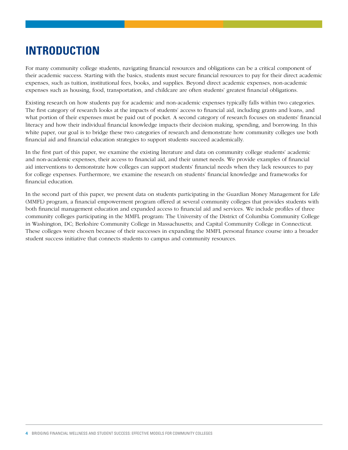# **INTRODUCTION**

For many community college students, navigating financial resources and obligations can be a critical component of their academic success. Starting with the basics, students must secure financial resources to pay for their direct academic expenses, such as tuition, institutional fees, books, and supplies. Beyond direct academic expenses, non-academic expenses such as housing, food, transportation, and childcare are often students' greatest financial obligations.

Existing research on how students pay for academic and non-academic expenses typically falls within two categories. The first category of research looks at the impacts of students' access to financial aid, including grants and loans, and what portion of their expenses must be paid out of pocket. A second category of research focuses on students' financial literacy and how their individual financial knowledge impacts their decision making, spending, and borrowing. In this white paper, our goal is to bridge these two categories of research and demonstrate how community colleges use both financial aid and financial education strategies to support students succeed academically.

In the first part of this paper, we examine the existing literature and data on community college students' academic and non-academic expenses, their access to financial aid, and their unmet needs. We provide examples of financial aid interventions to demonstrate how colleges can support students' financial needs when they lack resources to pay for college expenses. Furthermore, we examine the research on students' financial knowledge and frameworks for financial education.

In the second part of this paper, we present data on students participating in the Guardian Money Management for Life (MMFL) program, a financial empowerment program offered at several community colleges that provides students with both financial management education and expanded access to financial aid and services. We include profiles of three community colleges participating in the MMFL program: The University of the District of Columbia Community College in Washington, DC; Berkshire Community College in Massachusetts; and Capital Community College in Connecticut. These colleges were chosen because of their successes in expanding the MMFL personal finance course into a broader student success initiative that connects students to campus and community resources.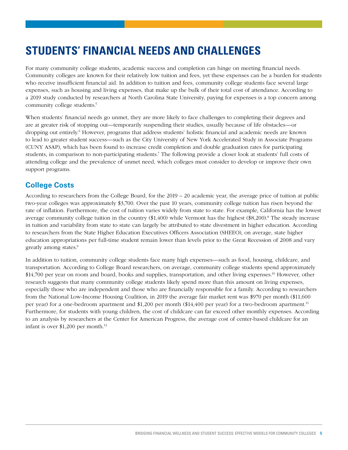# **STUDENTS' FINANCIAL NEEDS AND CHALLENGES**

For many community college students, academic success and completion can hinge on meeting financial needs. Community colleges are known for their relatively low tuition and fees, yet these expenses can be a burden for students who receive insufficient financial aid. In addition to tuition and fees, community college students face several large expenses, such as housing and living expenses, that make up the bulk of their total cost of attendance. According to a 2019 study conducted by researchers at North Carolina State University, paying for expenses is a top concern among community college students.<sup>5</sup>

When students' financial needs go unmet, they are more likely to face challenges to completing their degrees and are at greater risk of stopping out—temporarily suspending their studies, usually because of life obstacles—or dropping out entirely.<sup>6</sup> However, programs that address students' holistic financial and academic needs are known to lead to greater student success—such as the City University of New York Accelerated Study in Associate Programs (CUNY ASAP), which has been found to increase credit completion and double graduation rates for participating students, in comparison to non-participating students.7 The following provide a closer look at students' full costs of attending college and the prevalence of unmet need, which colleges must consider to develop or improve their own support programs.

#### **College Costs**

According to researchers from the College Board, for the 2019 – 20 academic year, the average price of tuition at public two-year colleges was approximately \$3,700. Over the past 10 years, community college tuition has risen beyond the rate of inflation. Furthermore, the cost of tuition varies widely from state to state. For example, California has the lowest average community college tuition in the country (\$1,400) while Vermont has the highest (\$8,200).<sup>8</sup> The steady increase in tuition and variability from state to state can largely be attributed to state divestment in higher education. According to researchers from the State Higher Education Executives Officers Association (SHEEO), on average, state higher education appropriations per full-time student remain lower than levels prior to the Great Recession of 2008 and vary greatly among states.<sup>9</sup>

In addition to tuition, community college students face many high expenses—such as food, housing, childcare, and transportation. According to College Board researchers, on average, community college students spend approximately \$14,700 per year on room and board, books and supplies, transportation, and other living expenses.<sup>10</sup> However, other research suggests that many community college students likely spend more than this amount on living expenses, especially those who are independent and those who are financially responsible for a family. According to researchers from the National Low-Income Housing Coalition, in 2019 the average fair market rent was \$970 per month (\$11,600 per year) for a one-bedroom apartment and \$1,200 per month (\$14,400 per year) for a two-bedroom apartment.11 Furthermore, for students with young children, the cost of childcare can far exceed other monthly expenses. According to an analysis by researchers at the Center for American Progress, the average cost of center-based childcare for an infant is over \$1,200 per month.12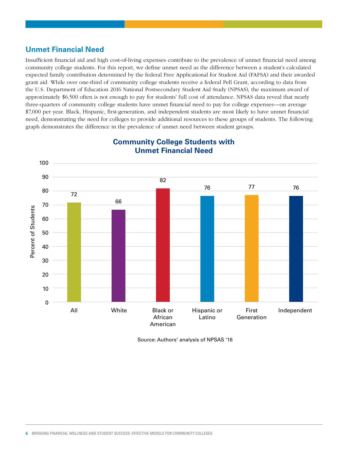#### **Unmet Financial Need**

Insufficient financial aid and high cost-of-living expenses contribute to the prevalence of unmet financial need among community college students. For this report, we define unmet need as the difference between a student's calculated expected family contribution determined by the federal Free Applicational for Student Aid (FAFSA) and their awarded grant aid. While over one-third of community college students receive a federal Pell Grant, according to data from the U.S. Department of Education 2016 National Postsecondary Student Aid Study (NPSAS), the maximum award of approximately \$6,500 often is not enough to pay for students' full cost of attendance. NPSAS data reveal that nearly three-quarters of community college students have unmet financial need to pay for college expenses—on average \$7,000 per year. Black, Hispanic, first-generation, and independent students are most likely to have unmet financial need, demonstrating the need for colleges to provide additional resources to these groups of students. The following graph demonstrates the difference in the prevalence of unmet need between student groups.



#### **Community College Students with Unmet Financial Need**

Source: Authors' analysis of NPSAS '16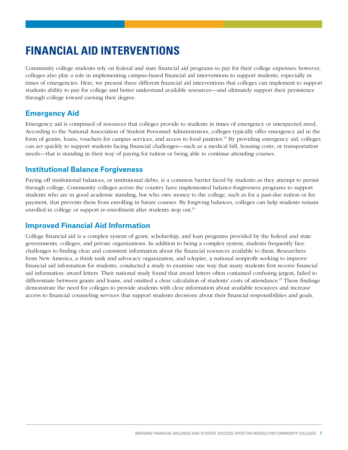# **FINANCIAL AID INTERVENTIONS**

Community college students rely on federal and state financial aid programs to pay for their college expenses; however, colleges also play a role in implementing campus-based financial aid interventions to support students, especially in times of emergencies. Here, we present three different financial aid interventions that colleges can implement to support students ability to pay for college and better understand available resources—and ultimately support their persistence through college toward earning their degree.

#### **Emergency Aid**

Emergency aid is comprised of resources that colleges provide to students in times of emergency or unexpected need. According to the National Association of Student Personnel Administrators, colleges typically offer emergency aid in the form of grants, loans, vouchers for campus services, and access to food pantries.13 By providing emergency aid, colleges can act quickly to support students facing financial challenges—such as a medical bill, housing costs, or transportation needs—that is standing in their way of paying for tuition or being able to continue attending courses.

#### **Institutional Balance Forgiveness**

Paying off institutional balances, or institutional debts, is a common barrier faced by students as they attempt to persist through college. Community colleges across the country have implemented balance-forgiveness programs to support students who are in good academic standing, but who owe money to the college, such as for a past-due tuition or fee payment, that prevents them from enrolling in future courses. By forgiving balances, colleges can help students remain enrolled in college or support re-enrollment after students stop out.<sup>14</sup>

#### **Improved Financial Aid Information**

College financial aid is a complex system of grant, scholarship, and loan programs provided by the federal and state governments, colleges, and private organizations. In addition to being a complex system, students frequently face challenges to finding clear and consistent information about the financial resources available to them. Researchers from New America, a think tank and advocacy organization, and uAspire, a national nonprofit seeking to improve financial aid information for students, conducted a study to examine one way that many students first receive financial aid information: award letters. Their national study found that award letters often contained confusing jargon, failed to differentiate between grants and loans, and omitted a clear calculation of students' costs of attendance.15 These findings demonstrate the need for colleges to provide students with clear information about available resources and increase access to financial counseling services that support students decisions about their financial responsibilities and goals.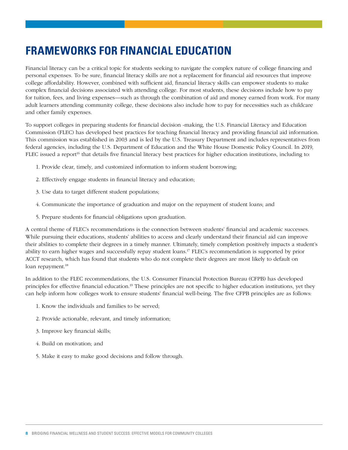## **FRAMEWORKS FOR FINANCIAL EDUCATION**

Financial literacy can be a critical topic for students seeking to navigate the complex nature of college financing and personal expenses. To be sure, financial literacy skills are not a replacement for financial aid resources that improve college affordability. However, combined with sufficient aid, financial literacy skills can empower students to make complex financial decisions associated with attending college. For most students, these decisions include how to pay for tuition, fees, and living expenses—such as through the combination of aid and money earned from work. For many adult learners attending community college, these decisions also include how to pay for necessities such as childcare and other family expenses.

To support colleges in preparing students for financial decision -making, the U.S. Financial Literacy and Education Commission (FLEC) has developed best practices for teaching financial literacy and providing financial aid information. This commission was established in 2003 and is led by the U.S. Treasury Department and includes representatives from federal agencies, including the U.S. Department of Education and the White House Domestic Policy Council. In 2019, FLEC issued a report<sup>16</sup> that details five financial literacy best practices for higher education institutions, including to:

- 1. Provide clear, timely, and customized information to inform student borrowing;
- 2. Effectively engage students in financial literacy and education;
- 3. Use data to target different student populations;
- 4. Communicate the importance of graduation and major on the repayment of student loans; and
- 5. Prepare students for financial obligations upon graduation.

A central theme of FLEC's recommendations is the connection between students' financial and academic successes. While pursuing their educations, students' abilities to access and clearly understand their financial aid can improve their abilities to complete their degrees in a timely manner. Ultimately, timely completion positively impacts a student's ability to earn higher wages and successfully repay student loans.17 FLEC's recommendation is supported by prior ACCT research, which has found that students who do not complete their degrees are most likely to default on loan repayment.<sup>18</sup>

In addition to the FLEC recommendations, the U.S. Consumer Financial Protection Bureau (CFPB) has developed principles for effective financial education.19 These principles are not specific to higher education institutions, yet they can help inform how colleges work to ensure students' financial well-being. The five CFPB principles are as follows:

- 1. Know the individuals and families to be served;
- 2. Provide actionable, relevant, and timely information;
- 3. Improve key financial skills;
- 4. Build on motivation; and
- 5. Make it easy to make good decisions and follow through.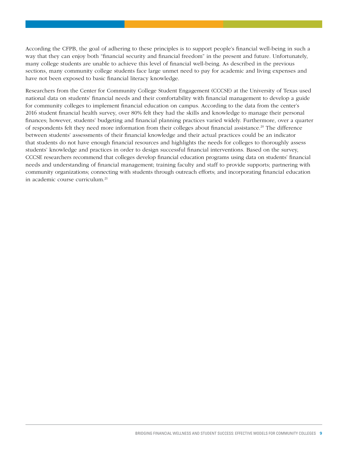According the CFPB, the goal of adhering to these principles is to support people's financial well-being in such a way that they can enjoy both "financial security and financial freedom" in the present and future. Unfortunately, many college students are unable to achieve this level of financial well-being. As described in the previous sections, many community college students face large unmet need to pay for academic and living expenses and have not been exposed to basic financial literacy knowledge.

Researchers from the Center for Community College Student Engagement (CCCSE) at the University of Texas used national data on students' financial needs and their comfortability with financial management to develop a guide for community colleges to implement financial education on campus. According to the data from the center's 2016 student financial health survey, over 80% felt they had the skills and knowledge to manage their personal finances; however, students' budgeting and financial planning practices varied widely. Furthermore, over a quarter of respondents felt they need more information from their colleges about financial assistance.20 The difference between students' assessments of their financial knowledge and their actual practices could be an indicator that students do not have enough financial resources and highlights the needs for colleges to thoroughly assess students' knowledge and practices in order to design successful financial interventions. Based on the survey, CCCSE researchers recommend that colleges develop financial education programs using data on students' financial needs and understanding of financial management; training faculty and staff to provide supports; partnering with community organizations; connecting with students through outreach efforts; and incorporating financial education in academic course curriculum.21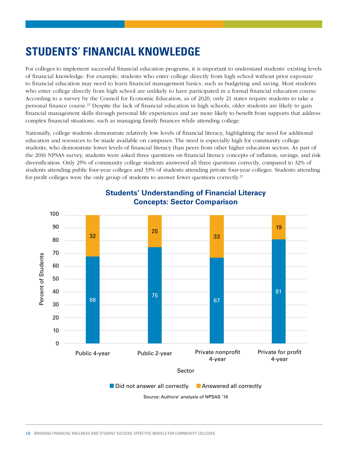# **STUDENTS' FINANCIAL KNOWLEDGE**

For colleges to implement successful financial education programs, it is important to understand students' existing levels of financial knowledge. For example, students who enter college directly from high school without prior exposure to financial education may need to learn financial management basics, such as budgeting and saving. Most students who enter college directly from high school are unlikely to have participated in a formal financial education course. According to a survey by the Council for Economic Education, as of 2020, only 21 states require students to take a personal finance course.22 Despite the lack of financial education in high schools, older students are likely to gain financial management skills through personal life experiences and are more likely to benefit from supports that address complex financial situations, such as managing family finances while attending college.

Nationally, college students demonstrate relatively low levels of financial literacy, highlighting the need for additional education and resources to be made available on campuses. The need is especially high for community college students, who demonstrate lower levels of financial literacy than peers from other higher education sectors. As part of the 2016 NPSAS survey, students were asked three questions on financial literacy concepts of inflation, savings, and risk diversification. Only 25% of community college students answered all three questions correctly, compared to 32% of students attending public four-year colleges and 33% of students attending private four-year colleges. Students attending for-profit colleges were the only group of students to answer fewer questions correctly.<sup>23</sup>

![](_page_11_Figure_3.jpeg)

#### **Students' Understanding of Financial Literacy Concepts: Sector Comparison**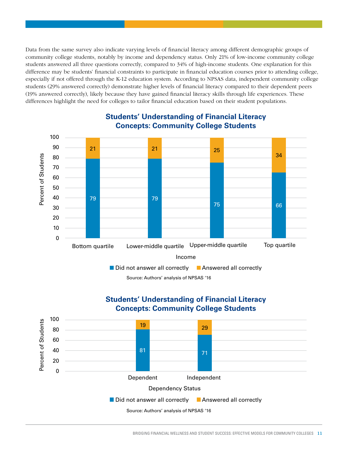Data from the same survey also indicate varying levels of financial literacy among different demographic groups of community college students, notably by income and dependency status. Only 21% of low-income community college students answered all three questions correctly, compared to 34% of high-income students. One explanation for this difference may be students' financial constraints to participate in financial education courses prior to attending college, especially if not offered through the K-12 education system. According to NPSAS data, independent community college students (29% answered correctly) demonstrate higher levels of financial literacy compared to their dependent peers (19% answered correctly), likely because they have gained financial literacy skills through life experiences. These differences highlight the need for colleges to tailor financial education based on their student populations.

![](_page_12_Figure_1.jpeg)

#### **Students' Understanding of Financial Literacy Concepts: Community College Students**

Source: Authors' analysis of NPSAS '16

#### **Students' Understanding of Financial Literacy Concepts: Community College Students**

![](_page_12_Figure_5.jpeg)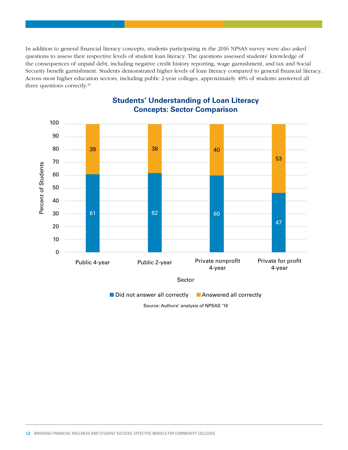In addition to general financial literacy concepts, students participating in the 2016 NPSAS survey were also asked questions to assess their respective levels of student loan literacy. The questions assessed students' knowledge of the consequences of unpaid debt, including negative credit history reporting, wage garnishment, and tax and Social Security benefit garnishment. Students demonstrated higher levels of loan literacy compared to general financial literacy. Across most higher education sectors, including public 2-year colleges, approximately 40% of students answered all three questions correctly.<sup>24</sup>

![](_page_13_Figure_1.jpeg)

#### **Students' Understanding of Loan Literacy Concepts: Sector Comparison**

Source: Authors' analysis of NPSAS '16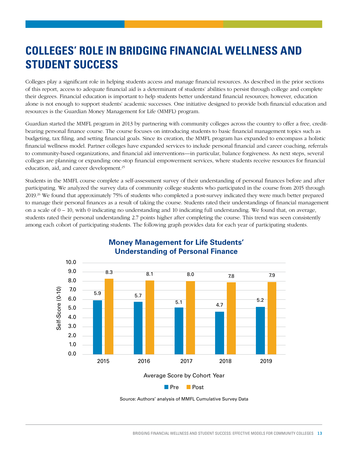# **COLLEGES' ROLE IN BRIDGING FINANCIAL WELLNESS AND STUDENT SUCCESS**

Colleges play a significant role in helping students access and manage financial resources. As described in the prior sections of this report, access to adequate financial aid is a determinant of students' abilities to persist through college and complete their degrees. Financial education is important to help students better understand financial resources; however, education alone is not enough to support students' academic successes. One initiative designed to provide both financial education and resources is the Guardian Money Management for Life (MMFL) program.

Guardian started the MMFL program in 2013 by partnering with community colleges across the country to offer a free, creditbearing personal finance course. The course focuses on introducing students to basic financial management topics such as budgeting, tax filing, and setting financial goals. Since its creation, the MMFL program has expanded to encompass a holistic financial wellness model. Partner colleges have expanded services to include personal financial and career coaching, referrals to community-based organizations, and financial aid interventions—in particular, balance forgiveness. As next steps, several colleges are planning or expanding one-stop financial empowerment services, where students receive resources for financial education, aid, and career development.25

Students in the MMFL course complete a self-assessment survey of their understanding of personal finances before and after participating. We analyzed the survey data of community college students who participated in the course from 2015 through 2019.<sup>26</sup> We found that approximately 75% of students who completed a post-survey indicated they were much better prepared to manage their personal finances as a result of taking the course. Students rated their understandings of financial management on a scale of  $0 - 10$ , with 0 indicating no understanding and 10 indicating full understanding. We found that, on average, students rated their personal understanding 2.7 points higher after completing the course. This trend was seen consistently among each cohort of participating students. The following graph provides data for each year of participating students.

![](_page_14_Figure_4.jpeg)

#### **Money Management for Life Students' Understanding of Personal Finance**

Source: Authors' analysis of MMFL Cumulative Survey Data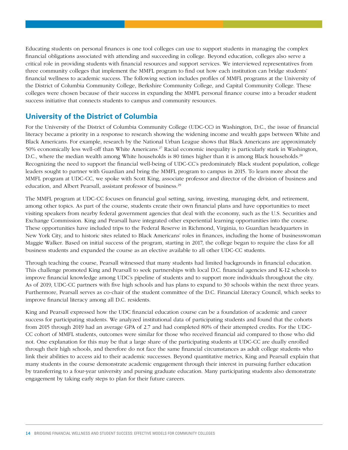Educating students on personal finances is one tool colleges can use to support students in managing the complex financial obligations associated with attending and succeeding in college. Beyond education, colleges also serve a critical role in providing students with financial resources and support services. We interviewed representatives from three community colleges that implement the MMFL program to find out how each institution can bridge students' financial wellness to academic success. The following section includes profiles of MMFL programs at the University of the District of Columbia Community College, Berkshire Community College, and Capital Community College. These colleges were chosen because of their success in expanding the MMFL personal finance course into a broader student success initiative that connects students to campus and community resources.

#### **University of the District of Columbia**

For the University of the District of Columbia Community College (UDC-CC) in Washington, D.C., the issue of financial literacy became a priority in a response to research showing the widening income and wealth gaps between White and Black Americans. For example, research by the National Urban League shows that Black Americans are approximately 50% economically less well-off than White Americans.<sup>27</sup> Racial economic inequality is particularly stark in Washington, D.C., where the median wealth among White households is 80 times higher than it is among Black households.<sup>28</sup> Recognizing the need to support the financial well-being of UDC-CC's predominately Black student population, college leaders sought to partner with Guardian and bring the MMFL program to campus in 2015. To learn more about the MMFL program at UDC-CC, we spoke with Scott King, associate professor and director of the division of business and education, and Albert Pearsall, assistant professor of business.<sup>29</sup>

The MMFL program at UDC-CC focuses on financial goal setting, saving, investing, managing debt, and retirement, among other topics. As part of the course, students create their own financial plans and have opportunities to meet visiting speakers from nearby federal government agencies that deal with the economy, such as the U.S. Securities and Exchange Commission. King and Pearsall have integrated other experiential learning opportunities into the course. These opportunities have included trips to the Federal Reserve in Richmond, Virginia, to Guardian headquarters in New York City, and to historic sites related to Black Americans' roles in finances, including the home of businesswoman Maggie Walker. Based on initial success of the program, starting in 2017, the college began to require the class for all business students and expanded the course as an elective available to all other UDC-CC students.

Through teaching the course, Pearsall witnessed that many students had limited backgrounds in financial education. This challenge promoted King and Pearsall to seek partnerships with local D.C. financial agencies and K-12 schools to improve financial knowledge among UDC's pipeline of students and to support more individuals throughout the city. As of 2019, UDC-CC partners with five high schools and has plans to expand to 30 schools within the next three years. Furthermore, Pearsall serves as co-chair of the student committee of the D.C. Financial Literacy Council, which seeks to improve financial literacy among all D.C. residents.

King and Pearsall expressed how the UDC financial education course can be a foundation of academic and career success for participating students. We analyzed institutional data of participating students and found that the cohorts from 2015 through 2019 had an average GPA of 2.7 and had completed 80% of their attempted credits. For the UDC-CC cohort of MMFL students, outcomes were similar for those who received financial aid compared to those who did not. One explanation for this may be that a large share of the participating students at UDC-CC are dually enrolled through their high schools, and therefore do not face the same financial circumstances as adult college students who link their abilities to access aid to their academic successes. Beyond quantitative metrics, King and Pearsall explain that many students in the course demonstrate academic engagement through their interest in pursuing further education by transferring to a four-year university and pursing graduate education. Many participating students also demonstrate engagement by taking early steps to plan for their future careers.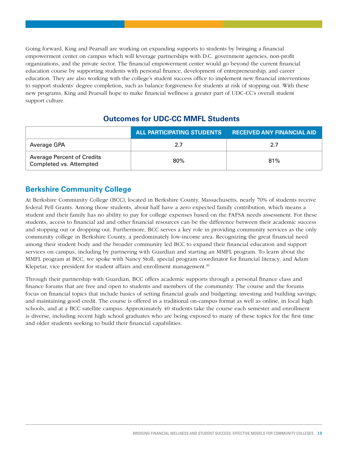Going forward, King and Pearsall are working on expanding supports to students by bringing a financial empowerment center on campus which will leverage partnerships with D.C. government agencies, non-profit organizations, and the private sector. The financial empowerment center would go beyond the current financial education course by supporting students with personal finance, development of entrepreneurship, and career education. They are also working with the college's student success office to implement new financial interventions to support students' degree completion, such as balance forgiveness for students at risk of stopping out. With these new programs, King and Pearsall hope to make financial wellness a greater part of UDC-CC's overall student support culture.

#### **Outcomes for UDC-CC MMFL Students**

|                                                              | ALL PARTICIPATING STUDENTS | <b>RECEIVED ANY FINANCIAL AID</b> |
|--------------------------------------------------------------|----------------------------|-----------------------------------|
| Average GPA                                                  | 2.7                        | 2.7                               |
| <b>Average Percent of Credits</b><br>Completed vs. Attempted | 80%                        | 81%                               |

#### **Berkshire Community College**

At Berkshire Community College (BCC), located in Berkshire County, Massachusetts, nearly 70% of students receive federal Pell Grants. Among those students, about half have a zero expected family contribution, which means a student and their family has no ability to pay for college expenses based on the FAFSA needs assessment. For these students, access to financial aid and other financial resources can be the difference between their academic success and stopping out or dropping out. Furthermore, BCC serves a key role in providing community services as the only community college in Berkshire County, a predominately low-income area. Recognizing the great financial need among their student body and the broader community led BCC to expand their financial education and support services on campus, including by partnering with Guardian and starting an MMFL program. To learn about the MMFL program at BCC, we spoke with Nancy Stoll, special program coordinator for financial literacy, and Adam Klepetar, vice president for student affairs and enrollment management.<sup>30</sup>

Through their partnership with Guardian, BCC offers academic supports through a personal finance class and finance forums that are free and open to students and members of the community. The course and the forums focus on financial topics that include basics of setting financial goals and budgeting; investing and building savings; and maintaining good credit. The course is offered in a traditional on-campus format as well as online, in local high schools, and at a BCC satellite campus. Approximately 40 students take the course each semester and enrollment is diverse, including recent high school graduates who are being exposed to many of these topics for the first time and older students seeking to build their financial capabilities.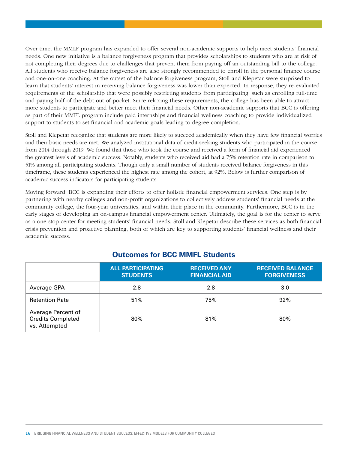Over time, the MMLF program has expanded to offer several non-academic supports to help meet students' financial needs. One new initiative is a balance forgiveness program that provides scholarships to students who are at risk of not completing their degrees due to challenges that prevent them from paying off an outstanding bill to the college. All students who receive balance forgiveness are also strongly recommended to enroll in the personal finance course and one-on-one coaching. At the outset of the balance forgiveness program, Stoll and Klepetar were surprised to learn that students' interest in receiving balance forgiveness was lower than expected. In response, they re-evaluated requirements of the scholarship that were possibly restricting students from participating, such as enrolling full-time and paying half of the debt out of pocket. Since relaxing these requirements, the college has been able to attract more students to participate and better meet their financial needs. Other non-academic supports that BCC is offering as part of their MMFL program include paid internships and financial wellness coaching to provide individualized support to students to set financial and academic goals leading to degree completion.

Stoll and Klepetar recognize that students are more likely to succeed academically when they have few financial worries and their basic needs are met. We analyzed institutional data of credit-seeking students who participated in the course from 2014 through 2019. We found that those who took the course and received a form of financial aid experienced the greatest levels of academic success. Notably, students who received aid had a 75% retention rate in comparison to 51% among all participating students. Though only a small number of students received balance forgiveness in this timeframe, these students experienced the highest rate among the cohort, at 92%. Below is further comparison of academic success indicators for participating students.

Moving forward, BCC is expanding their efforts to offer holistic financial empowerment services. One step is by partnering with nearby colleges and non-profit organizations to collectively address students' financial needs at the community college, the four-year universities, and within their place in the community. Furthermore, BCC is in the early stages of developing an on-campus financial empowerment center. Ultimately, the goal is for the center to serve as a one-stop center for meeting students' financial needs. Stoll and Klepetar describe these services as both financial crisis prevention and proactive planning, both of which are key to supporting students' financial wellness and their academic success.

|                                                                 | <b>ALL PARTICIPATING</b><br><b>STUDENTS</b> | <b>RECEIVED ANY</b><br><b>FINANCIAL AID</b> | <b>RECEIVED BALANCE</b><br><b>FORGIVENESS</b> |
|-----------------------------------------------------------------|---------------------------------------------|---------------------------------------------|-----------------------------------------------|
| Average GPA                                                     | 2.8                                         | 2.8                                         | 3.0                                           |
| <b>Retention Rate</b>                                           | 51%                                         | 75%                                         | 92%                                           |
| Average Percent of<br><b>Credits Completed</b><br>vs. Attempted | 80%                                         | 81%                                         | 80%                                           |

#### **Outcomes for BCC MMFL Students**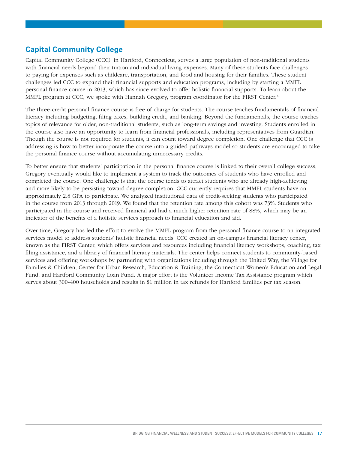#### **Capital Community College**

Capital Community College (CCC), in Hartford, Connecticut, serves a large population of non-traditional students with financial needs beyond their tuition and individual living expenses. Many of these students face challenges to paying for expenses such as childcare, transportation, and food and housing for their families. These student challenges led CCC to expand their financial supports and education programs, including by starting a MMFL personal finance course in 2013, which has since evolved to offer holistic financial supports. To learn about the MMFL program at CCC, we spoke with Hannah Gregory, program coordinator for the FIRST Center.<sup>31</sup>

The three-credit personal finance course is free of charge for students. The course teaches fundamentals of financial literacy including budgeting, filing taxes, building credit, and banking. Beyond the fundamentals, the course teaches topics of relevance for older, non-traditional students, such as long-term savings and investing. Students enrolled in the course also have an opportunity to learn from financial professionals, including representatives from Guardian. Though the course is not required for students, it can count toward degree completion. One challenge that CCC is addressing is how to better incorporate the course into a guided-pathways model so students are encouraged to take the personal finance course without accumulating unnecessary credits.

To better ensure that students' participation in the personal finance course is linked to their overall college success, Gregory eventually would like to implement a system to track the outcomes of students who have enrolled and completed the course. One challenge is that the course tends to attract students who are already high-achieving and more likely to be persisting toward degree completion. CCC currently requires that MMFL students have an approximately 2.8 GPA to participate. We analyzed institutional data of credit-seeking students who participated in the course from 2013 through 2019. We found that the retention rate among this cohort was 73%. Students who participated in the course and received financial aid had a much higher retention rate of 88%, which may be an indicator of the benefits of a holistic services approach to financial education and aid.

Over time, Gregory has led the effort to evolve the MMFL program from the personal finance course to an integrated services model to address students' holistic financial needs. CCC created an on-campus financial literacy center, known as the FIRST Center, which offers services and resources including financial literacy workshops, coaching, tax filing assistance, and a library of financial literacy materials. The center helps connect students to community-based services and offering workshops by partnering with organizations including through the United Way, the Village for Families & Children, Center for Urban Research, Education & Training, the Connecticut Women's Education and Legal Fund, and Hartford Community Loan Fund. A major effort is the Volunteer Income Tax Assistance program which serves about 300-400 households and results in \$1 million in tax refunds for Hartford families per tax season.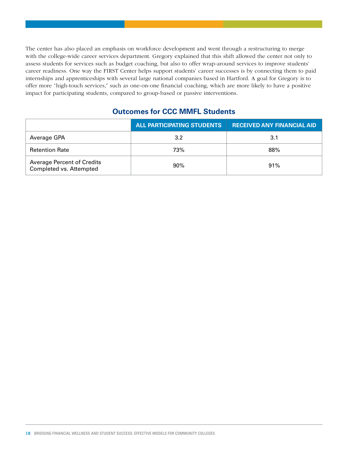The center has also placed an emphasis on workforce development and went through a restructuring to merge with the college-wide career services department. Gregory explained that this shift allowed the center not only to assess students for services such as budget coaching, but also to offer wrap-around services to improve students' career readiness. One way the FIRST Center helps support students' career successes is by connecting them to paid internships and apprenticeships with several large national companies based in Hartford. A goal for Gregory is to offer more "high-touch services," such as one-on-one financial coaching, which are more likely to have a positive impact for participating students, compared to group-based or passive interventions.

#### **Outcomes for CCC MMFL Students**

|                                                              | ALL PARTICIPATING STUDENTS | <b>RECEIVED ANY FINANCIAL AID</b> |
|--------------------------------------------------------------|----------------------------|-----------------------------------|
| Average GPA                                                  | 3.2                        | 3.1                               |
| <b>Retention Rate</b>                                        | 73%                        | 88%                               |
| <b>Average Percent of Credits</b><br>Completed vs. Attempted | 90%                        | 91%                               |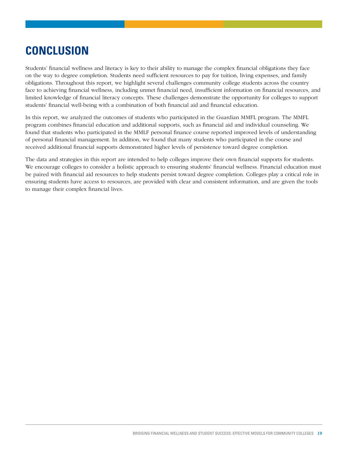# **CONCLUSION**

Students' financial wellness and literacy is key to their ability to manage the complex financial obligations they face on the way to degree completion. Students need sufficient resources to pay for tuition, living expenses, and family obligations. Throughout this report, we highlight several challenges community college students across the country face to achieving financial wellness, including unmet financial need, insufficient information on financial resources, and limited knowledge of financial literacy concepts. These challenges demonstrate the opportunity for colleges to support students' financial well-being with a combination of both financial aid and financial education.

In this report, we analyzed the outcomes of students who participated in the Guardian MMFL program. The MMFL program combines financial education and additional supports, such as financial aid and individual counseling. We found that students who participated in the MMLF personal finance course reported improved levels of understanding of personal financial management. In addition, we found that many students who participated in the course and received additional financial supports demonstrated higher levels of persistence toward degree completion.

The data and strategies in this report are intended to help colleges improve their own financial supports for students. We encourage colleges to consider a holistic approach to ensuring students' financial wellness. Financial education must be paired with financial aid resources to help students persist toward degree completion. Colleges play a critical role in ensuring students have access to resources, are provided with clear and consistent information, and are given the tools to manage their complex financial lives.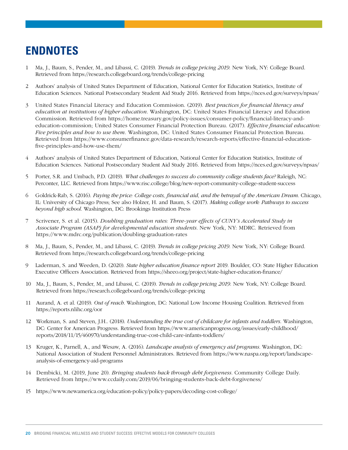# **ENDNOTES**

- 1 Ma, J., Baum, S., Pender, M., and Libassi, C. (2019). *Trends in college pricing 2019.* New York, NY: College Board. Retrieved from<https://research.collegeboard.org/trends/college-pricing>
- 2 Authors' analysis of United States Department of Education, National Center for Education Statistics, Institute of Education Sciences. National Postsecondary Student Aid Study 2016. Retrieved from https://nces.ed.gov/surveys/npsas/
- 3 United States Financial Literacy and Education Commission. (2019). *Best practices for financial literacy and education at institutions of higher education.* Washington, DC: United States Financial Literacy and Education Commission. Retrieved from [https://home.treasury.gov/policy-issues/consumer-policy/financial-literacy-and](https://home.treasury.gov/policy-issues/consumer-policy/financial-literacy-and-education-commission)[education-commission;](https://home.treasury.gov/policy-issues/consumer-policy/financial-literacy-and-education-commission) United States Consumer Financial Protection Bureau. (2017). *Effective financial education: Five principles and how to use them.* Washington, DC: United States Consumer Financial Protection Bureau. Retrieved from [https://www.consumerfinance.gov/data-research/research-reports/effective-financial-education](https://www.consumerfinance.gov/data-research/research-reports/effective-financial-education-five-principles-and-how-use-them/)[five-principles-and-how-use-them/](https://www.consumerfinance.gov/data-research/research-reports/effective-financial-education-five-principles-and-how-use-them/)
- 4 Authors' analysis of United States Department of Education, National Center for Education Statistics, Institute of Education Sciences. National Postsecondary Student Aid Study 2016. Retrieved from https://nces.ed.gov/surveys/npsas/
- 5 Porter, S.R. and Umbach, P.D. (2019). *What challenges to success do community college students face?* Raleigh, NC: Perconter, LLC. Retrieved from <https://www.risc.college/blog/new-report-community-college-student-success>
- 6 Goldrick-Rab, S. (2016). *Paying the price: College costs, financial aid, and the betrayal of the American Dream.* Chicago, IL: University of Chicago Press; See also Holzer, H. and Baum, S. (2017). *Making college work: Pathways to success beyond high school.* Washington, DC: Brookings Institution Press
- 7 Scrivener, S. et al. (2015). *Doubling graduation rates: Three-year effects of CUNY's Accelerated Study in Associate Program (ASAP) for developmental education students.* New York, NY: MDRC. Retrieved from <https://www.mdrc.org/publication/doubling-graduation-rates>
- 8 Ma, J., Baum, S., Pender, M., and Libassi, C. (2019). *Trends in college pricing 2019.* New York, NY: College Board. Retrieved from<https://research.collegeboard.org/trends/college-pricing>
- 9 Laderman, S. and Weeden, D. (2020). *State higher education finance report* 2019. Boulder, CO: State Higher Education Executive Officers Association. Retrieved from<https://sheeo.org/project/state-higher-education-finance/>
- 10 Ma, J., Baum, S., Pender, M., and Libassi, C. (2019). *Trends in college pricing 2019.* New York, NY: College Board. Retrieved from <https://research.collegeboard.org/trends/college-pricing>
- 11 Aurand, A. et al. (2019). *Out of reach.* Washington, DC: National Low Income Housing Coalition. Retrieved from <https://reports.nlihc.org/oor>
- 12 Workman, S. and Steven, J.H.. (2018). *Understanding the true cost of childcare for infants and toddlers.* Washington, DC: Center for American Progress. Retrieved from [https://www.americanprogress.org/issues/early-childhood/](https://www.americanprogress.org/issues/early-childhood/reports/2018/11/15/460970/understanding-true-cost-child-care-infants-toddlers/) [reports/2018/11/15/460970/understanding-true-cost-child-care-infants-toddlers/](https://www.americanprogress.org/issues/early-childhood/reports/2018/11/15/460970/understanding-true-cost-child-care-infants-toddlers/)
- 13 Kruger, K., Parnell, A., and Wesaw, A. (2016). *Landscape analysis of emergency aid programs.* Washington, DC: National Association of Student Personnel Administrators. Retrieved from [https://www.naspa.org/report/landscape](https://www.naspa.org/report/landscape-analysis-of-emergency-aid-programs)[analysis-of-emergency-aid-programs](https://www.naspa.org/report/landscape-analysis-of-emergency-aid-programs)
- 14 Dembicki, M. (2019, June 20). *Bringing students back through debt forgiveness.* Community College Daily. Retrieved from<https://www.ccdaily.com/2019/06/bringing-students-back-debt-forgiveness/>
- 15 <https://www.newamerica.org/education-policy/policy-papers/decoding-cost-college/>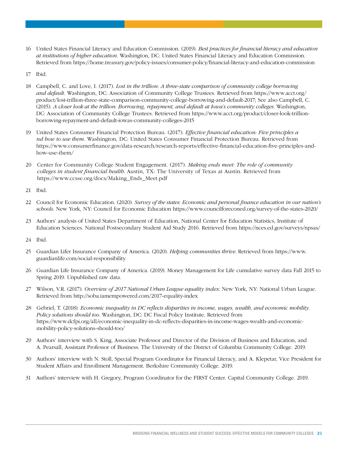- 16 United States Financial Literacy and Education Commission. (2019). *Best practices for financial literacy and education at institutions of higher education.* Washington, DC: United States Financial Literacy and Education Commission. Retrieved from <https://home.treasury.gov/policy-issues/consumer-policy/financial-literacy-and-education-commission>
- 17 Ibid.
- 18 Campbell, C. and Love, I. (2017). *Lost in the trillion: A three-state comparison of community college borrowing and default.* Washington, DC: Association of Community College Trustees. Retrieved from [https://www.acct.org/](https://www.acct.org/product/lost-trillion-three-state-comparison-community-college-borrowing-and-default-2017) [product/lost-trillion-three-state-comparison-community-college-borrowing-and-default-2017](https://www.acct.org/product/lost-trillion-three-state-comparison-community-college-borrowing-and-default-2017); See also Campbell, C. (2015). *A closer look at the trillion: Borrowing, repayment, and default at Iowa's community colleges.* Washington, DC: Association of Community College Trustees. Retrieved from [https://www.acct.org/product/closer-look-trillion](https://www.acct.org/product/closer-look-trillion-borrowing-repayment-and-default-iowas-community-colleges-2015)[borrowing-repayment-and-default-iowas-community-colleges-2015](https://www.acct.org/product/closer-look-trillion-borrowing-repayment-and-default-iowas-community-colleges-2015)
- 19 United States Consumer Financial Protection Bureau. (2017). *Effective financial education: Five principles a nd how to use them.* Washington, DC: United States Consumer Financial Protection Bureau. Retrieved from [https://www.consumerfinance.gov/data-research/research-reports/effective-financial-education-five-principles-and](https://www.consumerfinance.gov/data-research/research-reports/effective-financial-education-five-principles-and-how-use-them/)[how-use-them/](https://www.consumerfinance.gov/data-research/research-reports/effective-financial-education-five-principles-and-how-use-them/)
- 20 Center for Community College Student Engagement. (2017). *Making ends meet: The role of community colleges in student financial health.* Austin, TX: The University of Texas at Austin. Retrieved from [https://www.ccsse.org/docs/Making\\_Ends\\_Meet.pdf](https://www.ccsse.org/docs/Making_Ends_Meet.pdf)
- 21 Ibid.
- 22 Council for Economic Education. (2020). *Survey of the states: Economic and personal finance education in our nation's schools.* New York, NY: Council for Economic Education<https://www.councilforeconed.org/survey-of-the-states-2020/>
- 23 Authors' analysis of United States Department of Education, National Center for Education Statistics, Institute of Education Sciences. National Postsecondary Student Aid Study 2016. Retrieved from https://nces.ed.gov/surveys/npsas/
- 24 Ibid.
- 25 Guardian Lifer Insurance Company of America. (2020). *Helping communities thrive.* Retrieved from [https://www.](https://www.guardianlife.com/social-responsibility) [guardianlife.com/social-responsibility](https://www.guardianlife.com/social-responsibility)
- 26 Guardian Life Insurance Company of America. (2019). Money Management for Life cumulative survey data Fall 2015 to Spring 2019. Unpublished raw data.
- 27 Wilson, V.R. (2017). *Overview of 2017 National Urban League equality index.* New York, NY: National Urban League. Retrieved from<http://soba.iamempowered.com/2017-equality-index>
- 28 Gebriel, T. (2018). *Economic inequality in DC reflects disparities in income, wages, wealth, and economic mobility. Policy solutions should too.* Washington, DC: DC Fiscal Policy Institute. Retrieved from [https://www.dcfpi.org/all/economic-inequality-in-dc-reflects-disparities-in-income-wages-wealth-and-economic](https://www.dcfpi.org/all/economic-inequality-in-dc-reflects-disparities-in-income-wages-wealth-and-economic-mobility-policy-solutions-should-too/)[mobility-policy-solutions-should-too/](https://www.dcfpi.org/all/economic-inequality-in-dc-reflects-disparities-in-income-wages-wealth-and-economic-mobility-policy-solutions-should-too/)
- 29 Authors' interview with S. King, Associate Professor and Director of the Division of Business and Education, and A. Pearsall, Assistant Professor of Business. The University of the District of Columbia Community College. 2019.
- 30 Authors' interview with N. Stoll, Special Program Coordinator for Financial Literacy, and A. Klepetar, Vice President for Student Affairs and Enrollment Management. Berkshire Community College. 2019.
- 31 Authors' interview with H. Gregory, Program Coordinator for the FIRST Center. Capital Community College. 2019.